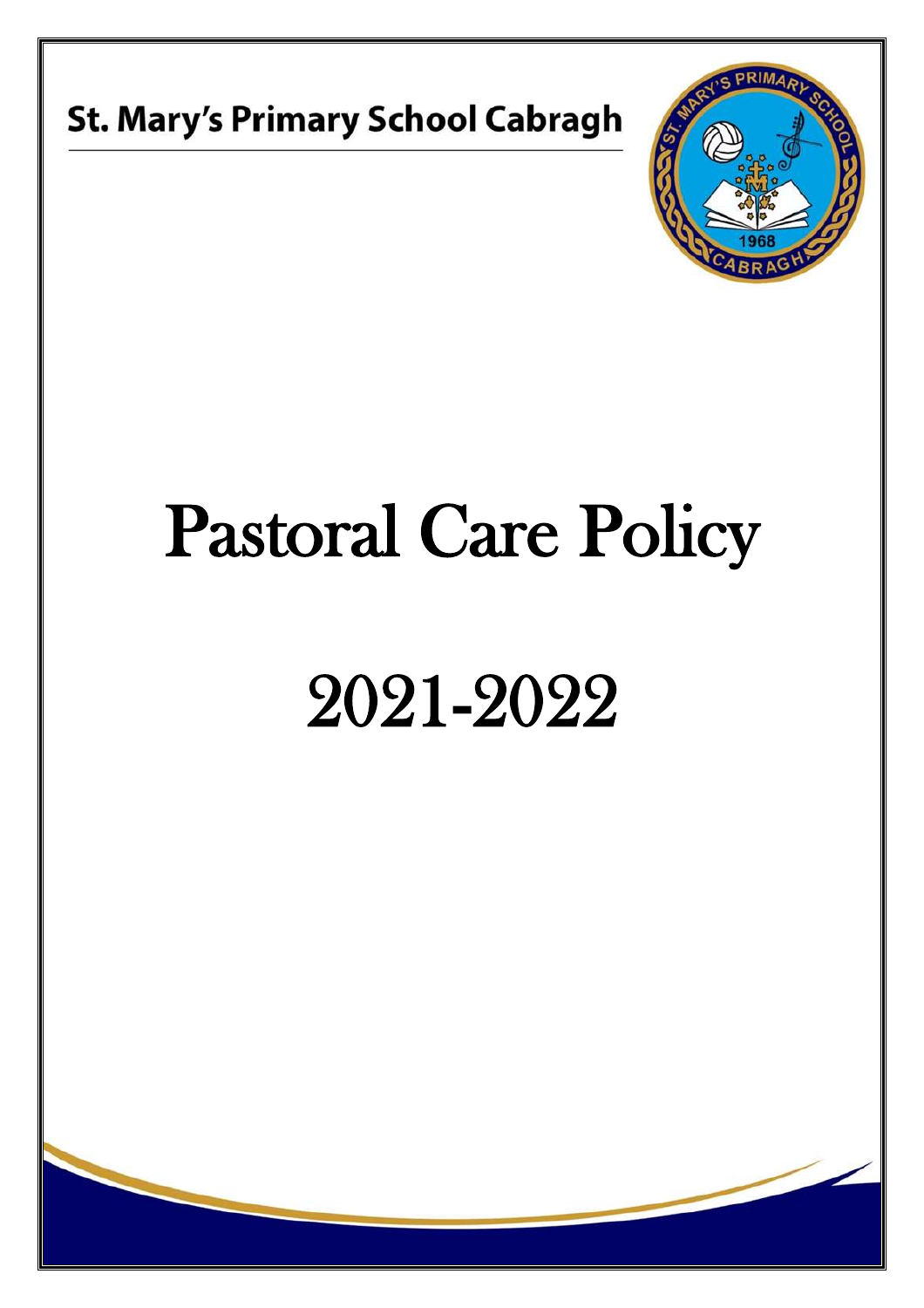



## Pastoral Care Policy

# 2021-2022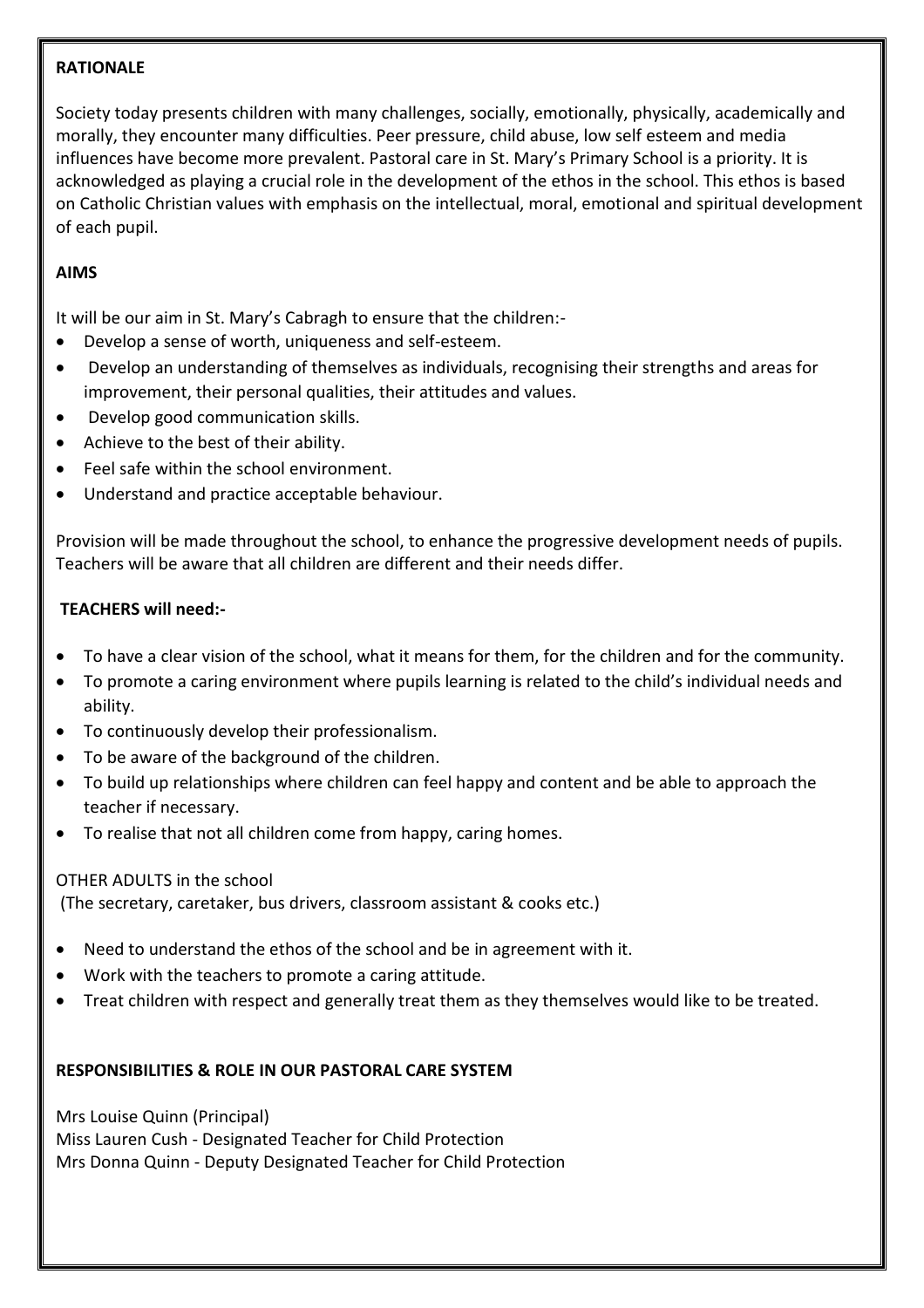#### **RATIONALE**

Society today presents children with many challenges, socially, emotionally, physically, academically and morally, they encounter many difficulties. Peer pressure, child abuse, low self esteem and media influences have become more prevalent. Pastoral care in St. Mary's Primary School is a priority. It is acknowledged as playing a crucial role in the development of the ethos in the school. This ethos is based on Catholic Christian values with emphasis on the intellectual, moral, emotional and spiritual development of each pupil.

### **AIMS**

It will be our aim in St. Mary's Cabragh to ensure that the children:-

- Develop a sense of worth, uniqueness and self-esteem.
- Develop an understanding of themselves as individuals, recognising their strengths and areas for improvement, their personal qualities, their attitudes and values.
- Develop good communication skills.
- Achieve to the best of their ability.
- Feel safe within the school environment.
- Understand and practice acceptable behaviour.

Provision will be made throughout the school, to enhance the progressive development needs of pupils. Teachers will be aware that all children are different and their needs differ.

#### **TEACHERS will need:-**

- To have a clear vision of the school, what it means for them, for the children and for the community.
- To promote a caring environment where pupils learning is related to the child's individual needs and ability.
- To continuously develop their professionalism.
- To be aware of the background of the children.
- To build up relationships where children can feel happy and content and be able to approach the teacher if necessary.
- To realise that not all children come from happy, caring homes.

#### OTHER ADULTS in the school

(The secretary, caretaker, bus drivers, classroom assistant & cooks etc.)

- Need to understand the ethos of the school and be in agreement with it.
- Work with the teachers to promote a caring attitude.
- Treat children with respect and generally treat them as they themselves would like to be treated.

### **RESPONSIBILITIES & ROLE IN OUR PASTORAL CARE SYSTEM**

Mrs Louise Quinn (Principal) Miss Lauren Cush - Designated Teacher for Child Protection Mrs Donna Quinn - Deputy Designated Teacher for Child Protection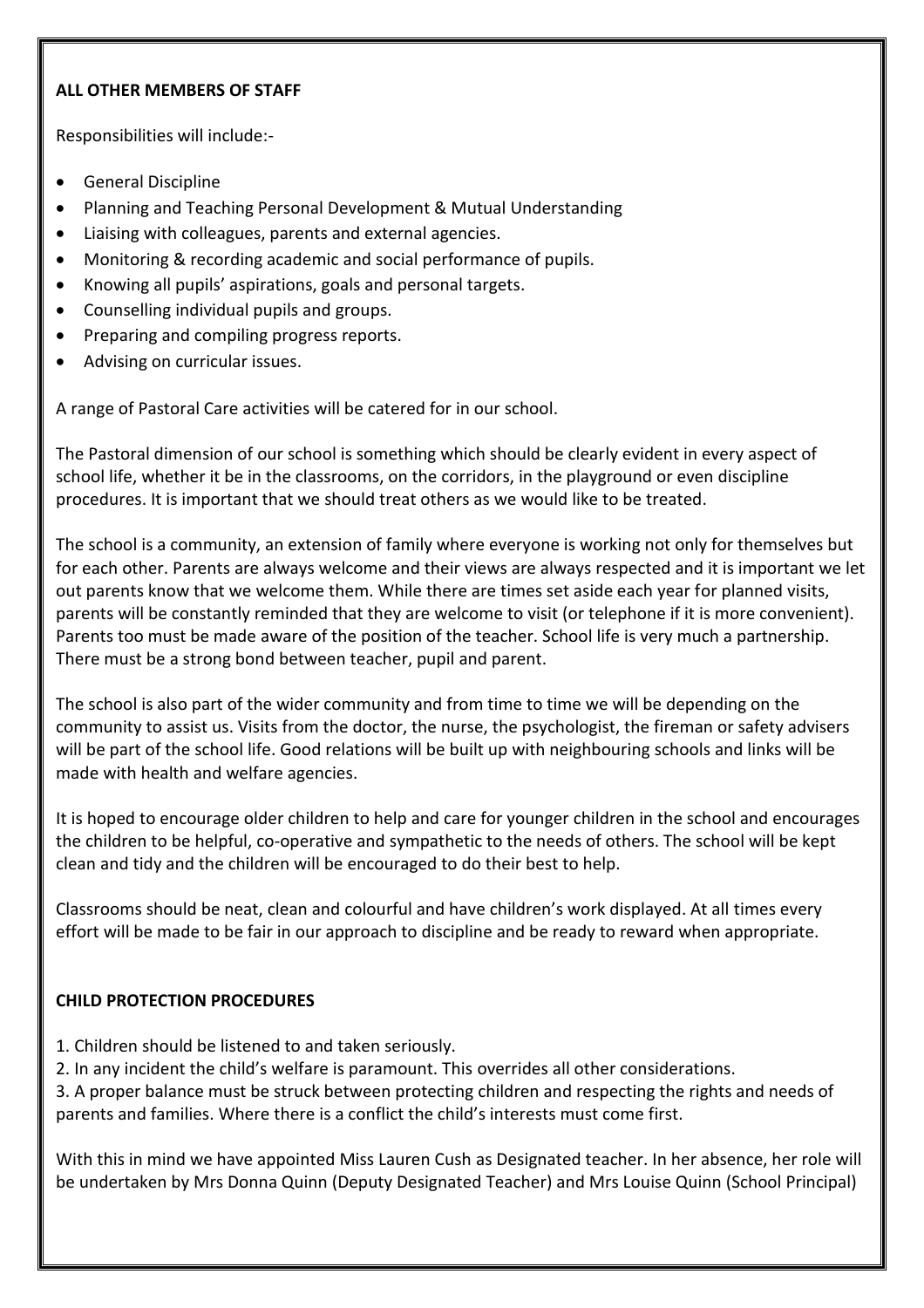### **ALL OTHER MEMBERS OF STAFF**

Responsibilities will include:-

- General Discipline
- Planning and Teaching Personal Development & Mutual Understanding
- Liaising with colleagues, parents and external agencies.
- Monitoring & recording academic and social performance of pupils.
- Knowing all pupils' aspirations, goals and personal targets.
- Counselling individual pupils and groups.
- Preparing and compiling progress reports.
- Advising on curricular issues.

A range of Pastoral Care activities will be catered for in our school.

The Pastoral dimension of our school is something which should be clearly evident in every aspect of school life, whether it be in the classrooms, on the corridors, in the playground or even discipline procedures. It is important that we should treat others as we would like to be treated.

The school is a community, an extension of family where everyone is working not only for themselves but for each other. Parents are always welcome and their views are always respected and it is important we let out parents know that we welcome them. While there are times set aside each year for planned visits, parents will be constantly reminded that they are welcome to visit (or telephone if it is more convenient). Parents too must be made aware of the position of the teacher. School life is very much a partnership. There must be a strong bond between teacher, pupil and parent.

The school is also part of the wider community and from time to time we will be depending on the community to assist us. Visits from the doctor, the nurse, the psychologist, the fireman or safety advisers will be part of the school life. Good relations will be built up with neighbouring schools and links will be made with health and welfare agencies.

It is hoped to encourage older children to help and care for younger children in the school and encourages the children to be helpful, co-operative and sympathetic to the needs of others. The school will be kept clean and tidy and the children will be encouraged to do their best to help.

Classrooms should be neat, clean and colourful and have children's work displayed. At all times every effort will be made to be fair in our approach to discipline and be ready to reward when appropriate.

### **CHILD PROTECTION PROCEDURES**

- 1. Children should be listened to and taken seriously.
- 2. In any incident the child's welfare is paramount. This overrides all other considerations.

3. A proper balance must be struck between protecting children and respecting the rights and needs of parents and families. Where there is a conflict the child's interests must come first.

With this in mind we have appointed Miss Lauren Cush as Designated teacher. In her absence, her role will be undertaken by Mrs Donna Quinn (Deputy Designated Teacher) and Mrs Louise Quinn (School Principal)